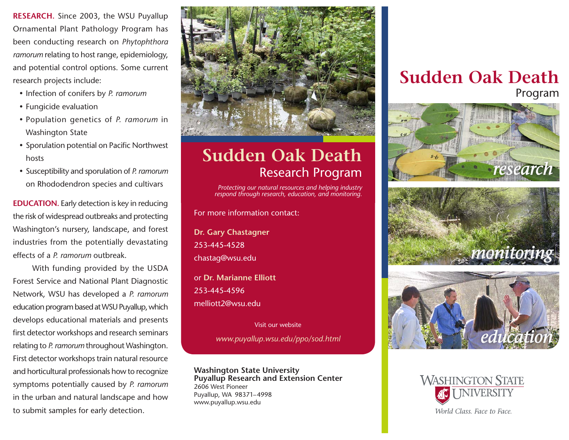**RESEARCH.** Since 2003, the WSU Puyallup Ornamental Plant Pathology Program has been conducting research on *Phytophthora ramorum* relating to host range, epidemiology, and potential control options. Some current research projects include:

- Infection of conifers by *P. ramorum*
- Fungicide evaluation
- y Population genetics of *P. ramorum* in Washington State
- Sporulation potential on Pacific Northwest hosts
- y Susceptibility and sporulation of *P. ramorum* on Rhododendron species and cultivars

**EDUCATION.** Early detection is key in reducing the risk of widespread outbreaks and protecting Washington's nursery, landscape, and forest industries from the potentially devastating effects of a *P. ramorum* outbreak.

With funding provided by the USDA Forest Service and National Plant Diagnostic Network, WSU has developed a *P. ramorum* education program based at WSU Puyallup, which develops educational materials and presents first detector workshops and research seminars relating to *P. ramorum* throughout Washington. First detector workshops train natural resource and horticultural professionals how to recognize symptoms potentially caused by *P. ramorum* in the urban and natural landscape and how to submit samples for early detection.



## **Sudden Oak Death** Research Program

*Protecting our natural resources and helping industry respond through research, education, and monitoring.*

For more information contact:

**Dr. Gary Chastagner** 253-445-4528 chastag@wsu.edu

or **Dr. Marianne Elliott** 253-445-4596 melliott2@wsu.edu

Visit our website

*www.puyallup.wsu.edu/ppo/sod.html*

**Washington State University Puyallup Research and Extension Center** 2606 West Pioneer Puyallup, WA 98371–4998 www.puyallup.wsu.edu

## **Sudden Oak Death**  Program